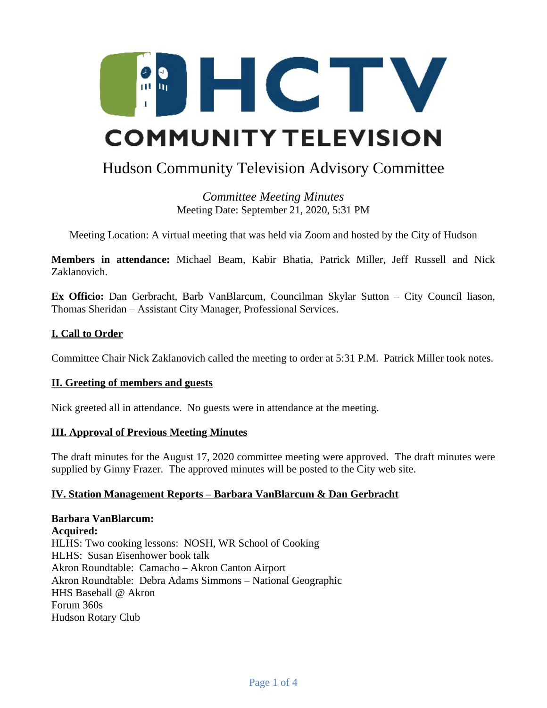

# Hudson Community Television Advisory Committee

*Committee Meeting Minutes* Meeting Date: September 21, 2020, 5:31 PM

Meeting Location: A virtual meeting that was held via Zoom and hosted by the City of Hudson

**Members in attendance:** Michael Beam, Kabir Bhatia, Patrick Miller, Jeff Russell and Nick Zaklanovich.

**Ex Officio:** Dan Gerbracht, Barb VanBlarcum, Councilman Skylar Sutton – City Council liason, Thomas Sheridan – Assistant City Manager, Professional Services.

## **I. Call to Order**

Committee Chair Nick Zaklanovich called the meeting to order at 5:31 P.M. Patrick Miller took notes.

## **II. Greeting of members and guests**

Nick greeted all in attendance. No guests were in attendance at the meeting.

## **III. Approval of Previous Meeting Minutes**

The draft minutes for the August 17, 2020 committee meeting were approved. The draft minutes were supplied by Ginny Frazer. The approved minutes will be posted to the City web site.

## **IV. Station Management Reports – Barbara VanBlarcum & Dan Gerbracht**

**Barbara VanBlarcum: Acquired:** HLHS: Two cooking lessons: NOSH, WR School of Cooking HLHS: Susan Eisenhower book talk Akron Roundtable: Camacho – Akron Canton Airport Akron Roundtable: Debra Adams Simmons – National Geographic HHS Baseball @ Akron Forum 360s Hudson Rotary Club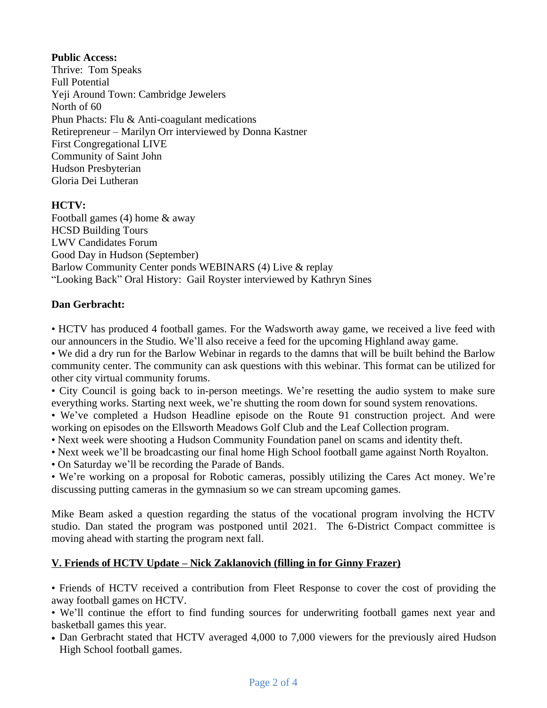# **Public Access:**

Thrive: Tom Speaks Full Potential Yeji Around Town: Cambridge Jewelers North of 60 Phun Phacts: Flu & Anti-coagulant medications Retirepreneur – Marilyn Orr interviewed by Donna Kastner First Congregational LIVE Community of Saint John Hudson Presbyterian Gloria Dei Lutheran

# **HCTV:**

Football games (4) home & away HCSD Building Tours LWV Candidates Forum Good Day in Hudson (September) Barlow Community Center ponds WEBINARS (4) Live & replay "Looking Back" Oral History: Gail Royster interviewed by Kathryn Sines

# **Dan Gerbracht:**

• HCTV has produced 4 football games. For the Wadsworth away game, we received a live feed with our announcers in the Studio. We'll also receive a feed for the upcoming Highland away game.

• We did a dry run for the Barlow Webinar in regards to the damns that will be built behind the Barlow community center. The community can ask questions with this webinar. This format can be utilized for other city virtual community forums.

• City Council is going back to in-person meetings. We're resetting the audio system to make sure everything works. Starting next week, we're shutting the room down for sound system renovations.

• We've completed a Hudson Headline episode on the Route 91 construction project. And were working on episodes on the Ellsworth Meadows Golf Club and the Leaf Collection program.

- Next week were shooting a Hudson Community Foundation panel on scams and identity theft.
- Next week we'll be broadcasting our final home High School football game against North Royalton.
- On Saturday we'll be recording the Parade of Bands.

• We're working on a proposal for Robotic cameras, possibly utilizing the Cares Act money. We're discussing putting cameras in the gymnasium so we can stream upcoming games.

Mike Beam asked a question regarding the status of the vocational program involving the HCTV studio. Dan stated the program was postponed until 2021. The 6-District Compact committee is moving ahead with starting the program next fall.

# **V. Friends of HCTV Update – Nick Zaklanovich (filling in for Ginny Frazer)**

• Friends of HCTV received a contribution from Fleet Response to cover the cost of providing the away football games on HCTV.

• We'll continue the effort to find funding sources for underwriting football games next year and basketball games this year.

• Dan Gerbracht stated that HCTV averaged 4,000 to 7,000 viewers for the previously aired Hudson High School football games.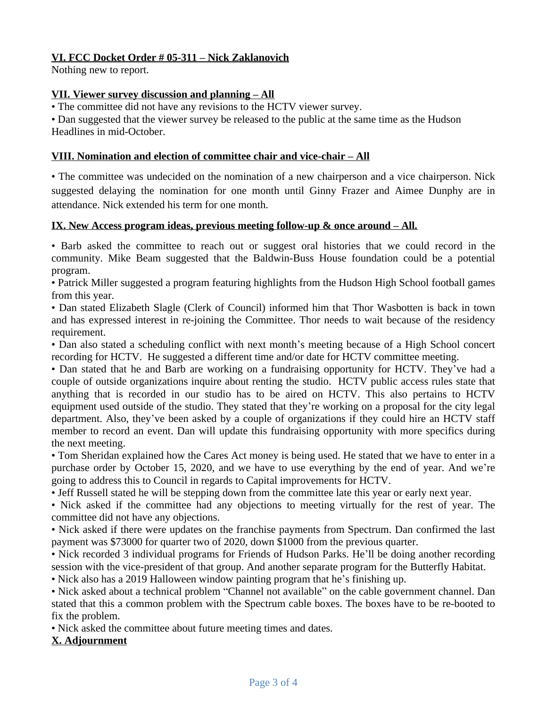# **VI. FCC Docket Order # 05-311 – Nick Zaklanovich**

Nothing new to report.

# **VII. Viewer survey discussion and planning – All**

• The committee did not have any revisions to the HCTV viewer survey.

• Dan suggested that the viewer survey be released to the public at the same time as the Hudson Headlines in mid-October.

## **VIII. Nomination and election of committee chair and vice-chair – All**

• The committee was undecided on the nomination of a new chairperson and a vice chairperson. Nick suggested delaying the nomination for one month until Ginny Frazer and Aimee Dunphy are in attendance. Nick extended his term for one month.

## **IX.** New Access program ideas, previous meeting follow-up & once around – All.

• Barb asked the committee to reach out or suggest oral histories that we could record in the community. Mike Beam suggested that the Baldwin-Buss House foundation could be a potential program.

• Patrick Miller suggested a program featuring highlights from the Hudson High School football games from this year.

• Dan stated Elizabeth Slagle (Clerk of Council) informed him that Thor Wasbotten is back in town and has expressed interest in re-joining the Committee. Thor needs to wait because of the residency requirement.

• Dan also stated a scheduling conflict with next month's meeting because of a High School concert recording for HCTV. He suggested a different time and/or date for HCTV committee meeting.

• Dan stated that he and Barb are working on a fundraising opportunity for HCTV. They've had a couple of outside organizations inquire about renting the studio. HCTV public access rules state that anything that is recorded in our studio has to be aired on HCTV. This also pertains to HCTV equipment used outside of the studio. They stated that they're working on a proposal for the city legal department. Also, they've been asked by a couple of organizations if they could hire an HCTV staff member to record an event. Dan will update this fundraising opportunity with more specifics during the next meeting.

• Tom Sheridan explained how the Cares Act money is being used. He stated that we have to enter in a purchase order by October 15, 2020, and we have to use everything by the end of year. And we're going to address this to Council in regards to Capital improvements for HCTV.

• Jeff Russell stated he will be stepping down from the committee late this year or early next year.

• Nick asked if the committee had any objections to meeting virtually for the rest of year. The committee did not have any objections.

• Nick asked if there were updates on the franchise payments from Spectrum. Dan confirmed the last payment was \$73000 for quarter two of 2020, down \$1000 from the previous quarter.

• Nick recorded 3 individual programs for Friends of Hudson Parks. He'll be doing another recording session with the vice-president of that group. And another separate program for the Butterfly Habitat.

• Nick also has a 2019 Halloween window painting program that he's finishing up.

• Nick asked about a technical problem "Channel not available" on the cable government channel. Dan stated that this a common problem with the Spectrum cable boxes. The boxes have to be re-booted to fix the problem.

• Nick asked the committee about future meeting times and dates.

# **X. Adjournment**